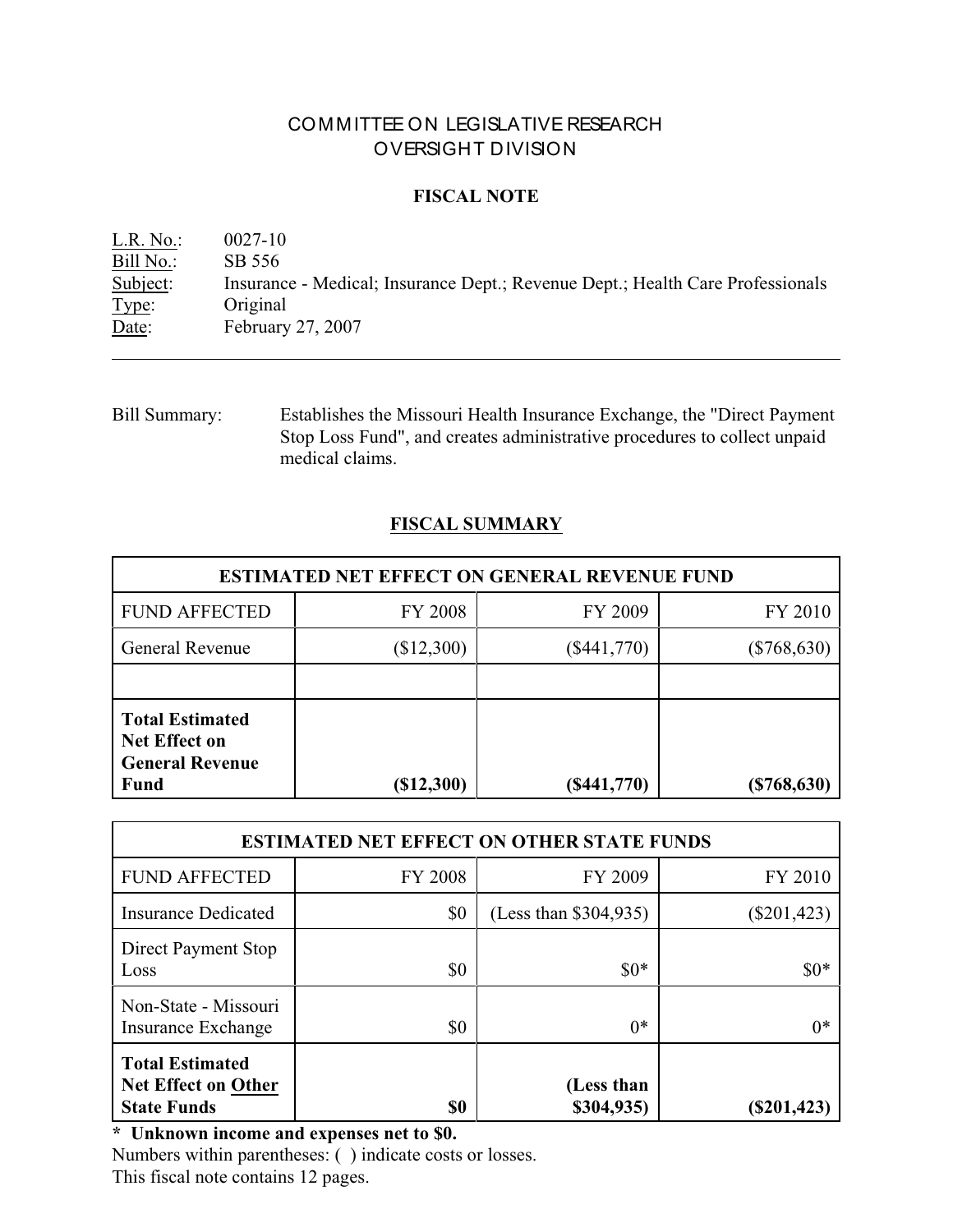# COMMITTEE ON LEGISLATIVE RESEARCH OVERSIGHT DIVISION

## **FISCAL NOTE**

L.R. No.: 0027-10 Bill No.: SB 556<br>Subject: Insurance Insurance - Medical; Insurance Dept.; Revenue Dept.; Health Care Professionals Type: Original Date: February 27, 2007

Bill Summary: Establishes the Missouri Health Insurance Exchange, the "Direct Payment Stop Loss Fund", and creates administrative procedures to collect unpaid medical claims.

## **FISCAL SUMMARY**

| <b>ESTIMATED NET EFFECT ON GENERAL REVENUE FUND</b>                                     |                |               |               |  |
|-----------------------------------------------------------------------------------------|----------------|---------------|---------------|--|
| <b>FUND AFFECTED</b>                                                                    | <b>FY 2008</b> | FY 2009       | FY 2010       |  |
| <b>General Revenue</b>                                                                  | (\$12,300)     | $(\$441,770)$ | $(\$768,630)$ |  |
|                                                                                         |                |               |               |  |
| <b>Total Estimated</b><br><b>Net Effect on</b><br><b>General Revenue</b><br><b>Fund</b> | (\$12,300)     | $(\$441,770)$ | (\$768, 630)  |  |

| <b>ESTIMATED NET EFFECT ON OTHER STATE FUNDS</b>                           |                |                          |               |  |
|----------------------------------------------------------------------------|----------------|--------------------------|---------------|--|
| <b>FUND AFFECTED</b>                                                       | <b>FY 2008</b> | FY 2009                  | FY 2010       |  |
| <b>Insurance Dedicated</b>                                                 | \$0            | (Less than \$304,935)    | $(\$201,423)$ |  |
| Direct Payment Stop<br>Loss                                                | \$0            | $$0*$                    | $$0*$         |  |
| Non-State - Missouri<br><b>Insurance Exchange</b>                          | \$0            | $0*$                     | $0*$          |  |
| <b>Total Estimated</b><br><b>Net Effect on Other</b><br><b>State Funds</b> | \$0            | (Less than<br>\$304,935) | $(\$201,423)$ |  |

**\* Unknown income and expenses net to \$0.**

Numbers within parentheses: ( ) indicate costs or losses. This fiscal note contains 12 pages.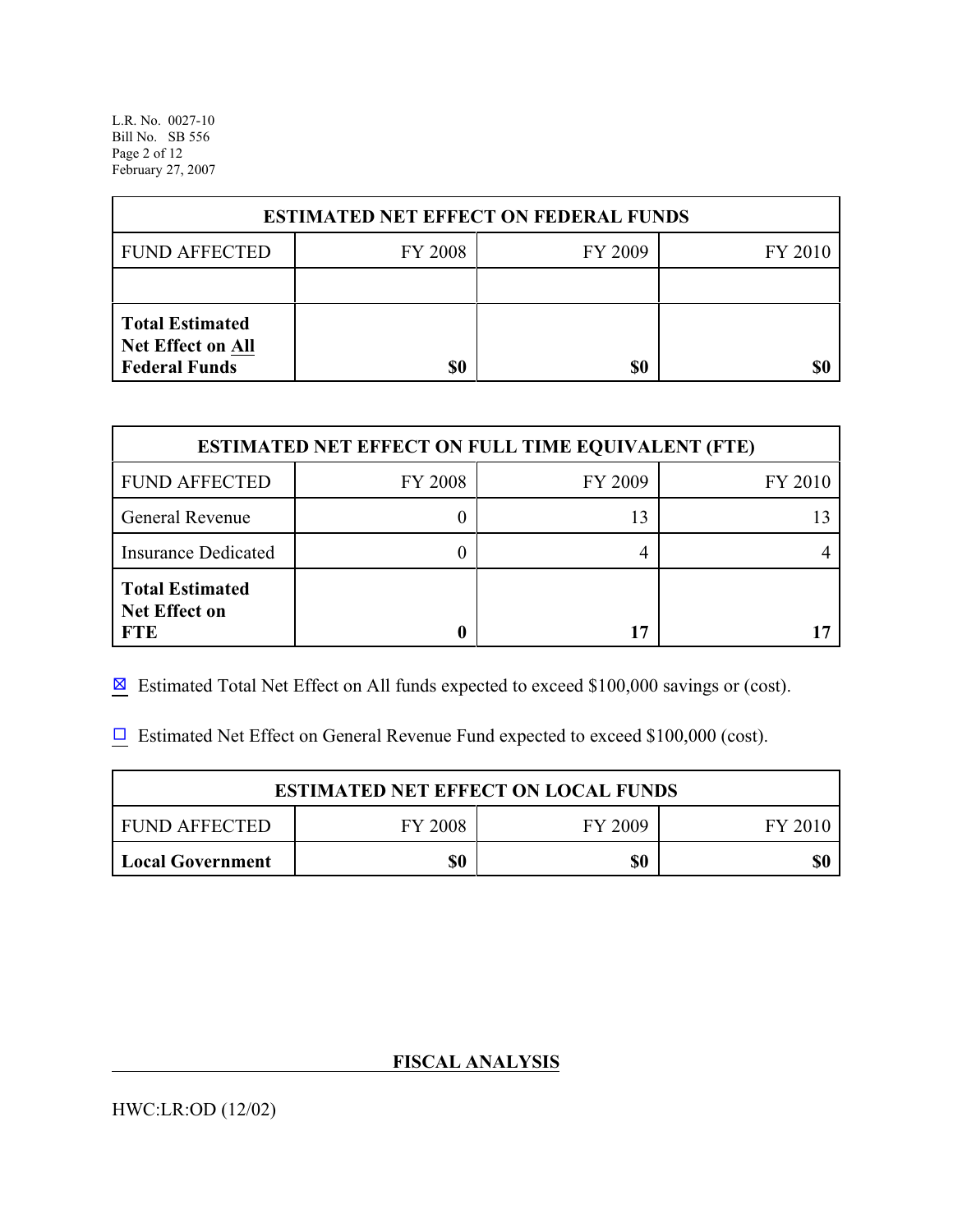L.R. No. 0027-10 Bill No. SB 556 Page 2 of 12 February 27, 2007

| <b>ESTIMATED NET EFFECT ON FEDERAL FUNDS</b>                        |                |         |         |  |
|---------------------------------------------------------------------|----------------|---------|---------|--|
| <b>FUND AFFECTED</b>                                                | <b>FY 2008</b> | FY 2009 | FY 2010 |  |
|                                                                     |                |         |         |  |
| <b>Total Estimated</b><br>Net Effect on All<br><b>Federal Funds</b> | \$0            | \$0     |         |  |

| <b>ESTIMATED NET EFFECT ON FULL TIME EQUIVALENT (FTE)</b>    |                |         |         |  |
|--------------------------------------------------------------|----------------|---------|---------|--|
| <b>FUND AFFECTED</b>                                         | <b>FY 2008</b> | FY 2009 | FY 2010 |  |
| General Revenue                                              |                | 13      |         |  |
| <b>Insurance Dedicated</b>                                   |                |         |         |  |
| <b>Total Estimated</b><br><b>Net Effect on</b><br><b>FTE</b> |                | רו      |         |  |

 $\boxtimes$  Estimated Total Net Effect on All funds expected to exceed \$100,000 savings or (cost).

 $\Box$  Estimated Net Effect on General Revenue Fund expected to exceed \$100,000 (cost).

| <b>ESTIMATED NET EFFECT ON LOCAL FUNDS</b> |                |         |         |  |
|--------------------------------------------|----------------|---------|---------|--|
| <b>FUND AFFECTED</b>                       | <b>FY 2008</b> | FY 2009 | FY 2010 |  |
| Local Government                           | \$0            | \$0     | \$0     |  |

# **FISCAL ANALYSIS**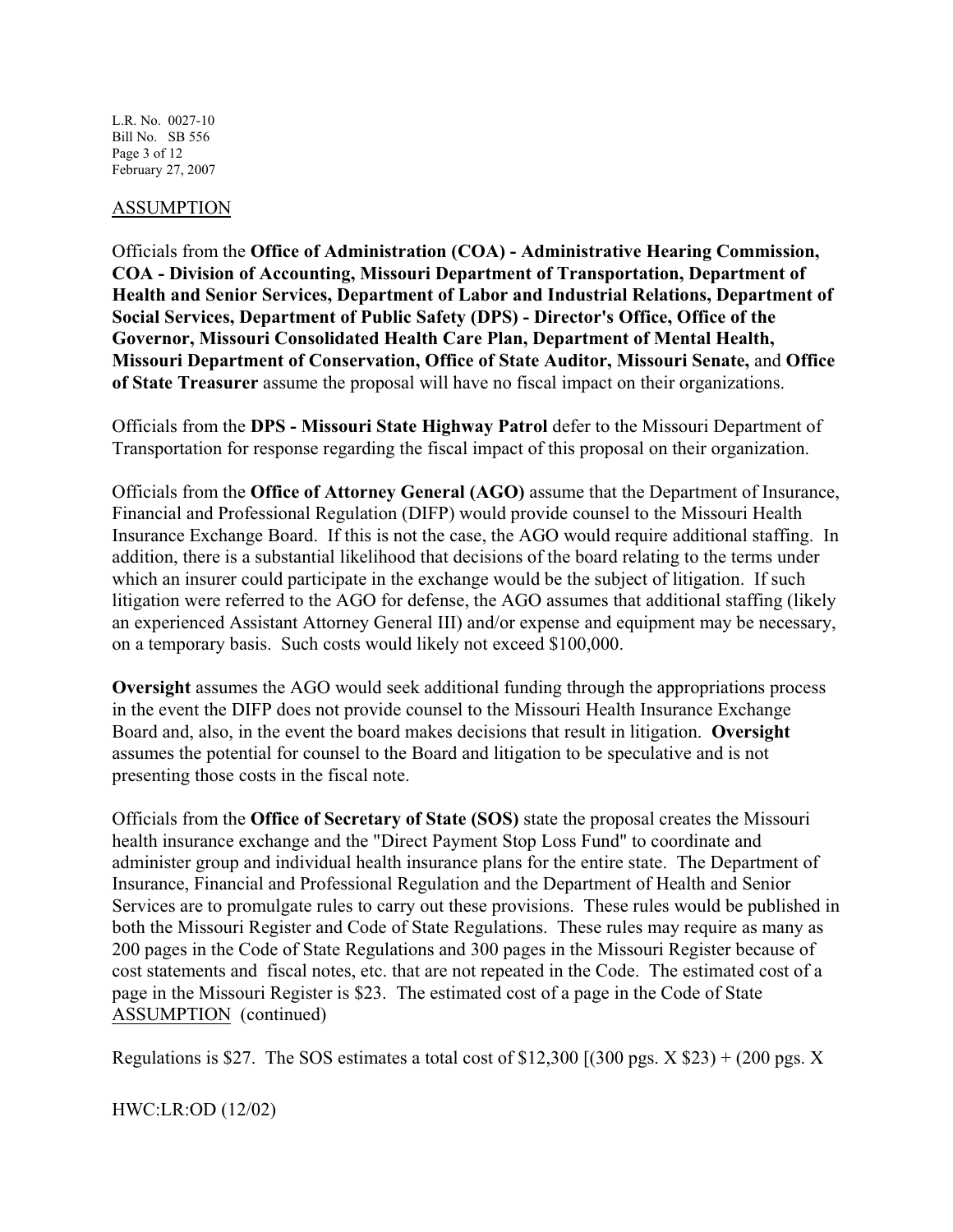L.R. No. 0027-10 Bill No. SB 556 Page 3 of 12 February 27, 2007

#### ASSUMPTION

Officials from the **Office of Administration (COA) - Administrative Hearing Commission, COA - Division of Accounting, Missouri Department of Transportation, Department of Health and Senior Services, Department of Labor and Industrial Relations, Department of Social Services, Department of Public Safety (DPS) - Director's Office, Office of the Governor, Missouri Consolidated Health Care Plan, Department of Mental Health, Missouri Department of Conservation, Office of State Auditor, Missouri Senate,** and **Office of State Treasurer** assume the proposal will have no fiscal impact on their organizations.

Officials from the **DPS - Missouri State Highway Patrol** defer to the Missouri Department of Transportation for response regarding the fiscal impact of this proposal on their organization.

Officials from the **Office of Attorney General (AGO)** assume that the Department of Insurance, Financial and Professional Regulation (DIFP) would provide counsel to the Missouri Health Insurance Exchange Board. If this is not the case, the AGO would require additional staffing. In addition, there is a substantial likelihood that decisions of the board relating to the terms under which an insurer could participate in the exchange would be the subject of litigation. If such litigation were referred to the AGO for defense, the AGO assumes that additional staffing (likely an experienced Assistant Attorney General III) and/or expense and equipment may be necessary, on a temporary basis. Such costs would likely not exceed \$100,000.

**Oversight** assumes the AGO would seek additional funding through the appropriations process in the event the DIFP does not provide counsel to the Missouri Health Insurance Exchange Board and, also, in the event the board makes decisions that result in litigation. **Oversight** assumes the potential for counsel to the Board and litigation to be speculative and is not presenting those costs in the fiscal note.

Officials from the **Office of Secretary of State (SOS)** state the proposal creates the Missouri health insurance exchange and the "Direct Payment Stop Loss Fund" to coordinate and administer group and individual health insurance plans for the entire state. The Department of Insurance, Financial and Professional Regulation and the Department of Health and Senior Services are to promulgate rules to carry out these provisions. These rules would be published in both the Missouri Register and Code of State Regulations. These rules may require as many as 200 pages in the Code of State Regulations and 300 pages in the Missouri Register because of cost statements and fiscal notes, etc. that are not repeated in the Code. The estimated cost of a page in the Missouri Register is \$23. The estimated cost of a page in the Code of State ASSUMPTION (continued)

Regulations is \$27. The SOS estimates a total cost of \$12,300 [(300 pgs.  $X$  \$23) + (200 pgs.  $X$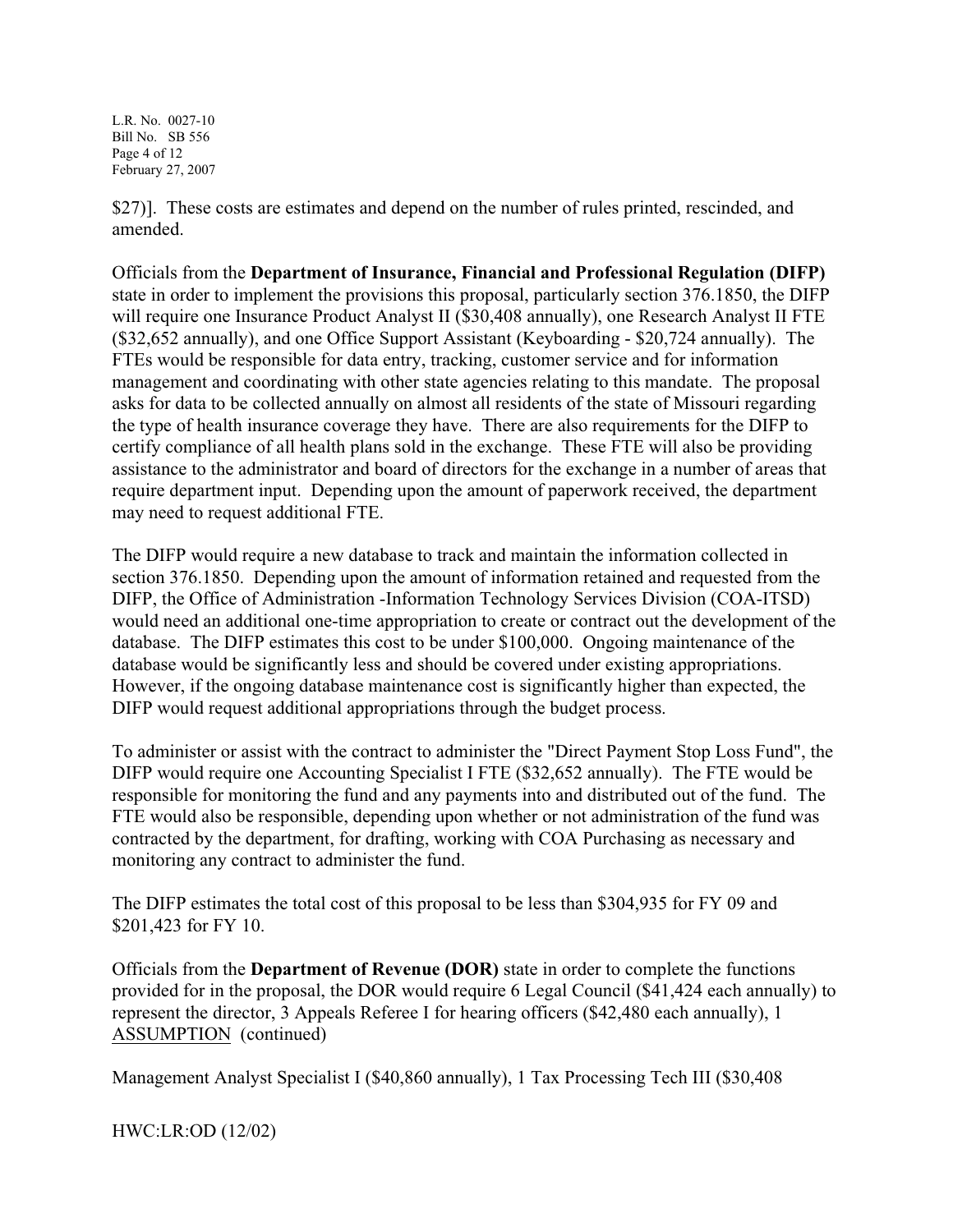L.R. No. 0027-10 Bill No. SB 556 Page 4 of 12 February 27, 2007

\$27)]. These costs are estimates and depend on the number of rules printed, rescinded, and amended.

Officials from the **Department of Insurance, Financial and Professional Regulation (DIFP)** state in order to implement the provisions this proposal, particularly section 376.1850, the DIFP will require one Insurance Product Analyst II (\$30,408 annually), one Research Analyst II FTE (\$32,652 annually), and one Office Support Assistant (Keyboarding - \$20,724 annually). The FTEs would be responsible for data entry, tracking, customer service and for information management and coordinating with other state agencies relating to this mandate. The proposal asks for data to be collected annually on almost all residents of the state of Missouri regarding the type of health insurance coverage they have. There are also requirements for the DIFP to certify compliance of all health plans sold in the exchange. These FTE will also be providing assistance to the administrator and board of directors for the exchange in a number of areas that require department input. Depending upon the amount of paperwork received, the department may need to request additional FTE.

The DIFP would require a new database to track and maintain the information collected in section 376.1850. Depending upon the amount of information retained and requested from the DIFP, the Office of Administration -Information Technology Services Division (COA-ITSD) would need an additional one-time appropriation to create or contract out the development of the database. The DIFP estimates this cost to be under \$100,000. Ongoing maintenance of the database would be significantly less and should be covered under existing appropriations. However, if the ongoing database maintenance cost is significantly higher than expected, the DIFP would request additional appropriations through the budget process.

To administer or assist with the contract to administer the "Direct Payment Stop Loss Fund", the DIFP would require one Accounting Specialist I FTE (\$32,652 annually). The FTE would be responsible for monitoring the fund and any payments into and distributed out of the fund. The FTE would also be responsible, depending upon whether or not administration of the fund was contracted by the department, for drafting, working with COA Purchasing as necessary and monitoring any contract to administer the fund.

The DIFP estimates the total cost of this proposal to be less than \$304,935 for FY 09 and \$201,423 for FY 10.

Officials from the **Department of Revenue (DOR)** state in order to complete the functions provided for in the proposal, the DOR would require 6 Legal Council (\$41,424 each annually) to represent the director, 3 Appeals Referee I for hearing officers (\$42,480 each annually), 1 ASSUMPTION (continued)

Management Analyst Specialist I (\$40,860 annually), 1 Tax Processing Tech III (\$30,408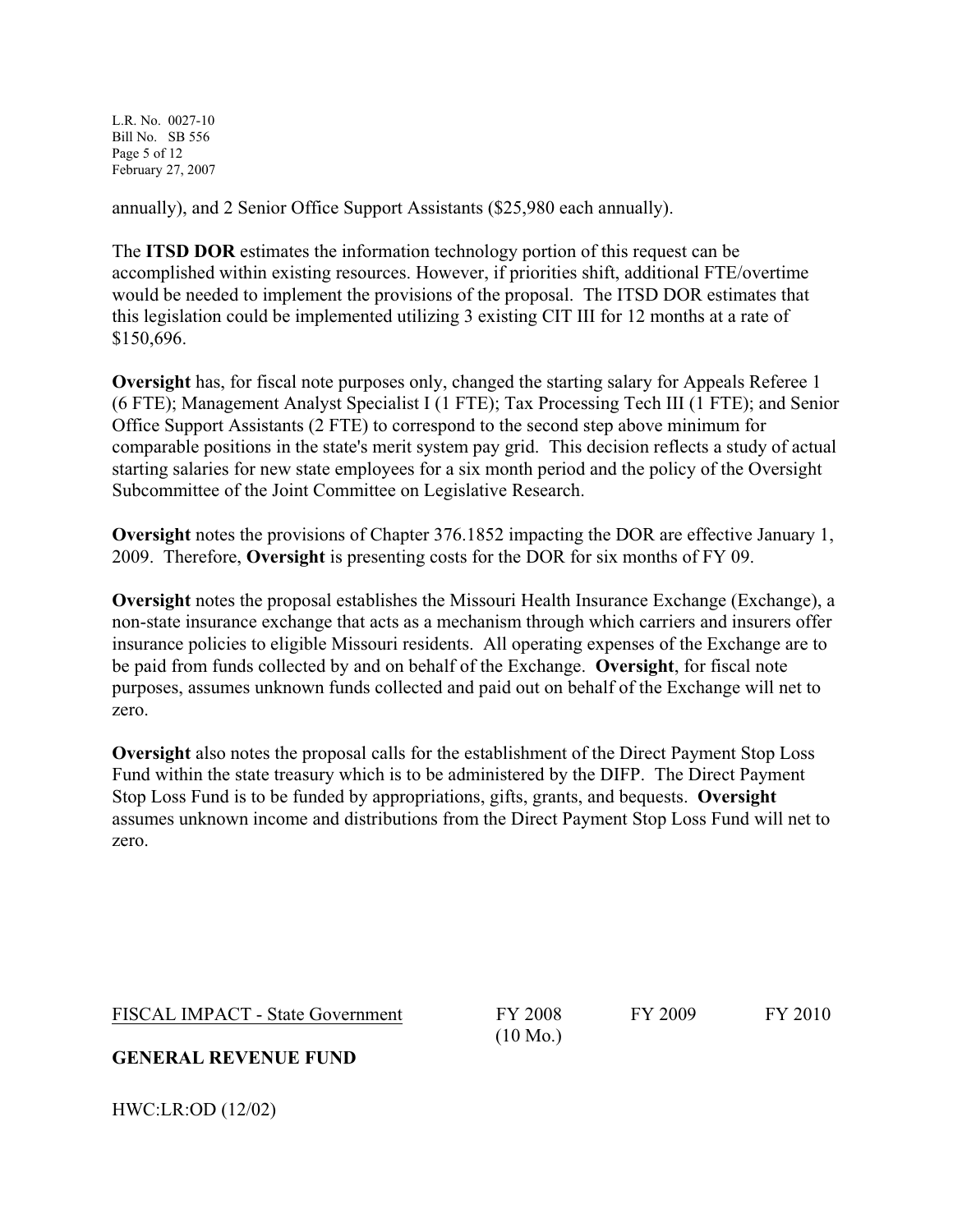L.R. No. 0027-10 Bill No. SB 556 Page 5 of 12 February 27, 2007

annually), and 2 Senior Office Support Assistants (\$25,980 each annually).

The **ITSD DOR** estimates the information technology portion of this request can be accomplished within existing resources. However, if priorities shift, additional FTE/overtime would be needed to implement the provisions of the proposal. The ITSD DOR estimates that this legislation could be implemented utilizing 3 existing CIT III for 12 months at a rate of \$150,696.

**Oversight** has, for fiscal note purposes only, changed the starting salary for Appeals Referee 1 (6 FTE); Management Analyst Specialist I (1 FTE); Tax Processing Tech III (1 FTE); and Senior Office Support Assistants (2 FTE) to correspond to the second step above minimum for comparable positions in the state's merit system pay grid. This decision reflects a study of actual starting salaries for new state employees for a six month period and the policy of the Oversight Subcommittee of the Joint Committee on Legislative Research.

**Oversight** notes the provisions of Chapter 376.1852 impacting the DOR are effective January 1, 2009. Therefore, **Oversight** is presenting costs for the DOR for six months of FY 09.

**Oversight** notes the proposal establishes the Missouri Health Insurance Exchange (Exchange), a non-state insurance exchange that acts as a mechanism through which carriers and insurers offer insurance policies to eligible Missouri residents. All operating expenses of the Exchange are to be paid from funds collected by and on behalf of the Exchange. **Oversight**, for fiscal note purposes, assumes unknown funds collected and paid out on behalf of the Exchange will net to zero.

**Oversight** also notes the proposal calls for the establishment of the Direct Payment Stop Loss Fund within the state treasury which is to be administered by the DIFP. The Direct Payment Stop Loss Fund is to be funded by appropriations, gifts, grants, and bequests. **Oversight** assumes unknown income and distributions from the Direct Payment Stop Loss Fund will net to zero.

FISCAL IMPACT - State Government FY 2008

(10 Mo.)

FY 2009 FY 2010

**GENERAL REVENUE FUND**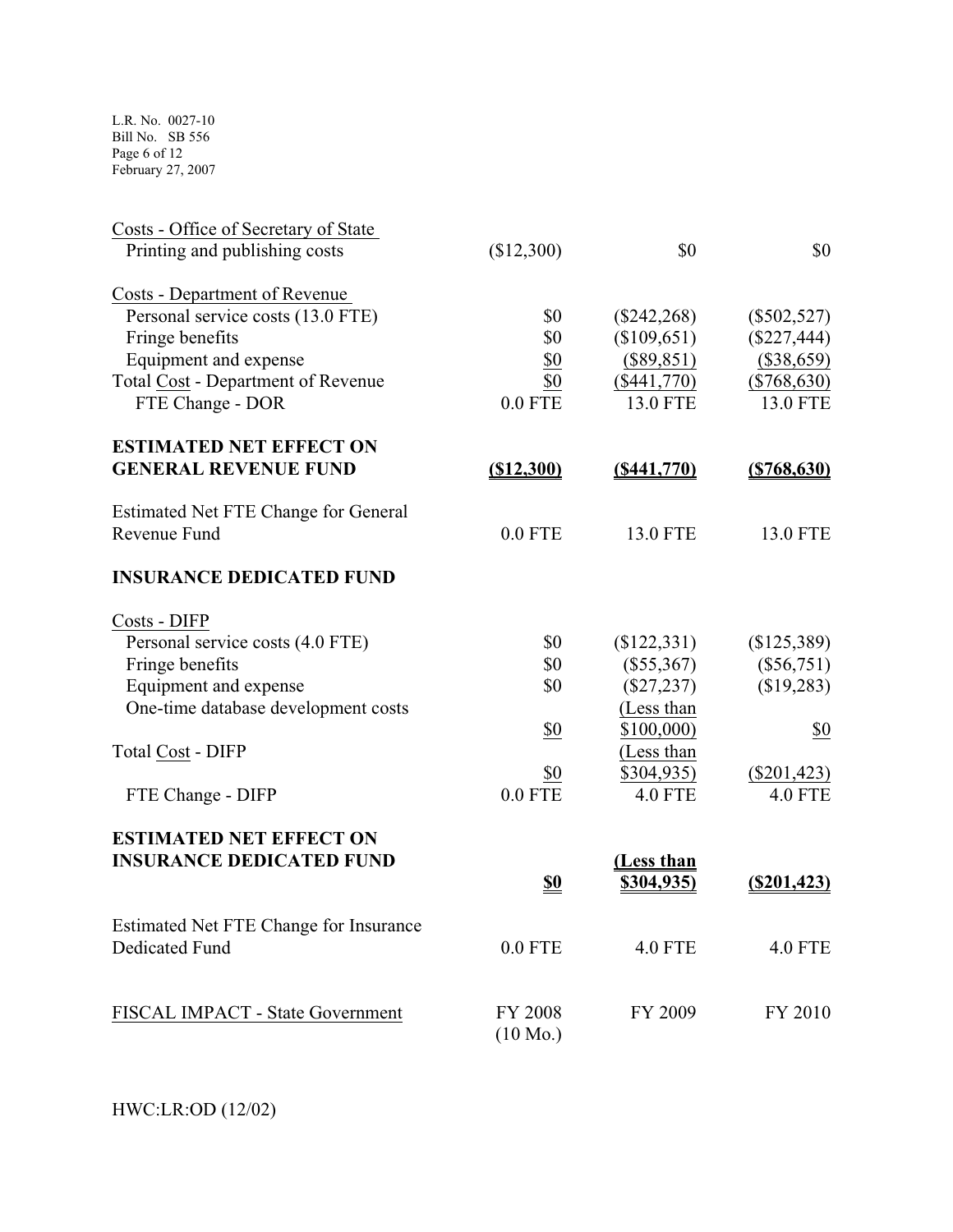L.R. No. 0027-10 Bill No. SB 556 Page 6 of 12 February 27, 2007

| Costs - Office of Secretary of State<br>Printing and publishing costs | (\$12,300)         | \$0               | \$0             |
|-----------------------------------------------------------------------|--------------------|-------------------|-----------------|
| Costs - Department of Revenue                                         |                    |                   |                 |
| Personal service costs (13.0 FTE)                                     | \$0                | $(\$242,268)$     | $(\$502,527)$   |
| Fringe benefits                                                       | \$0                | (\$109,651)       | $(\$227,444)$   |
| Equipment and expense                                                 | \$0                | $(\$89,851)$      | $(\$38,659)$    |
| <b>Total Cost - Department of Revenue</b>                             | \$0                | (\$441,770)       | $(\$768,630)$   |
| FTE Change - DOR                                                      | $0.0$ FTE          | <b>13.0 FTE</b>   | <b>13.0 FTE</b> |
| <b>ESTIMATED NET EFFECT ON</b>                                        |                    |                   |                 |
| <b>GENERAL REVENUE FUND</b>                                           | ( \$12,300)        | ( \$441,770)      | ( \$768, 630)   |
| Estimated Net FTE Change for General                                  |                    |                   |                 |
| Revenue Fund                                                          | $0.0$ FTE          | <b>13.0 FTE</b>   | 13.0 FTE        |
| <b>INSURANCE DEDICATED FUND</b>                                       |                    |                   |                 |
| Costs - DIFP                                                          |                    |                   |                 |
| Personal service costs (4.0 FTE)                                      | \$0                | \$122,331)        | (\$125,389)     |
| Fringe benefits                                                       | \$0                | $(\$55,367)$      | $(\$56,751)$    |
| Equipment and expense                                                 | \$0                | $(\$27,237)$      | (\$19,283)      |
| One-time database development costs                                   |                    | (Less than        |                 |
|                                                                       | \$0                | \$100,000)        | \$0             |
| <b>Total Cost - DIFP</b>                                              |                    | (Less than        |                 |
|                                                                       | \$0                | \$304,935)        | $(\$201,423)$   |
| FTE Change - DIFP                                                     | $0.0$ FTE          | <b>4.0 FTE</b>    | <b>4.0 FTE</b>  |
| <b>ESTIMATED NET EFFECT ON</b>                                        |                    |                   |                 |
| <b>INSURANCE DEDICATED FUND</b>                                       |                    | <u>(Less than</u> |                 |
|                                                                       | <u>\$0</u>         | \$304,935)        | $(\$201,423)$   |
| Estimated Net FTE Change for Insurance                                |                    |                   |                 |
| <b>Dedicated Fund</b>                                                 | $0.0$ FTE          | <b>4.0 FTE</b>    | <b>4.0 FTE</b>  |
|                                                                       |                    |                   |                 |
| FISCAL IMPACT - State Government                                      | FY 2008            | FY 2009           | FY 2010         |
|                                                                       | $(10 \text{ Mo.})$ |                   |                 |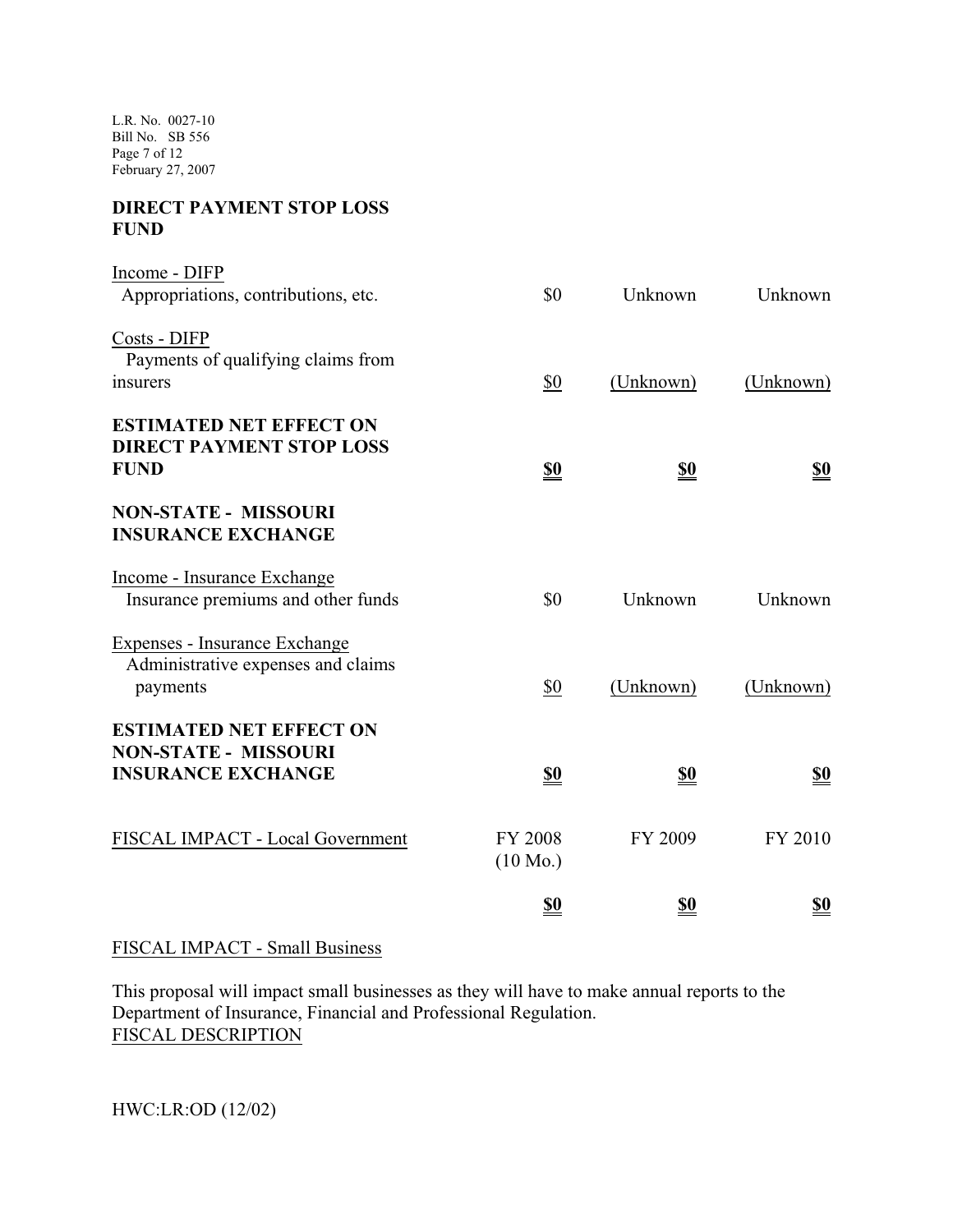L.R. No. 0027-10 Bill No. SB 556 Page 7 of 12 February 27, 2007

## **DIRECT PAYMENT STOP LOSS FUND**

| Income - DIFP                        |                    |            |            |
|--------------------------------------|--------------------|------------|------------|
| Appropriations, contributions, etc.  | \$0                | Unknown    | Unknown    |
| Costs - DIFP                         |                    |            |            |
| Payments of qualifying claims from   |                    |            |            |
| insurers                             | \$0                | (Unknown)  | (Unknown)  |
| <b>ESTIMATED NET EFFECT ON</b>       |                    |            |            |
| <b>DIRECT PAYMENT STOP LOSS</b>      |                    |            |            |
| <b>FUND</b>                          | <u>\$0</u>         | <u>\$0</u> | <u>\$0</u> |
| <b>NON-STATE - MISSOURI</b>          |                    |            |            |
| <b>INSURANCE EXCHANGE</b>            |                    |            |            |
| Income - Insurance Exchange          |                    |            |            |
| Insurance premiums and other funds   | \$0                | Unknown    | Unknown    |
| <b>Expenses - Insurance Exchange</b> |                    |            |            |
| Administrative expenses and claims   |                    |            |            |
| payments                             | \$0                | (Unknown)  | (Unknown)  |
| <b>ESTIMATED NET EFFECT ON</b>       |                    |            |            |
| <b>NON-STATE - MISSOURI</b>          |                    |            |            |
| <b>INSURANCE EXCHANGE</b>            | <u>\$0</u>         | <u>\$0</u> | <u>\$0</u> |
|                                      |                    |            |            |
| FISCAL IMPACT - Local Government     | <b>FY 2008</b>     | FY 2009    | FY 2010    |
|                                      | $(10 \text{ Mo.})$ |            |            |
|                                      | <u>so</u>          | <u>\$0</u> | <u>\$0</u> |

#### FISCAL IMPACT - Small Business

This proposal will impact small businesses as they will have to make annual reports to the Department of Insurance, Financial and Professional Regulation. FISCAL DESCRIPTION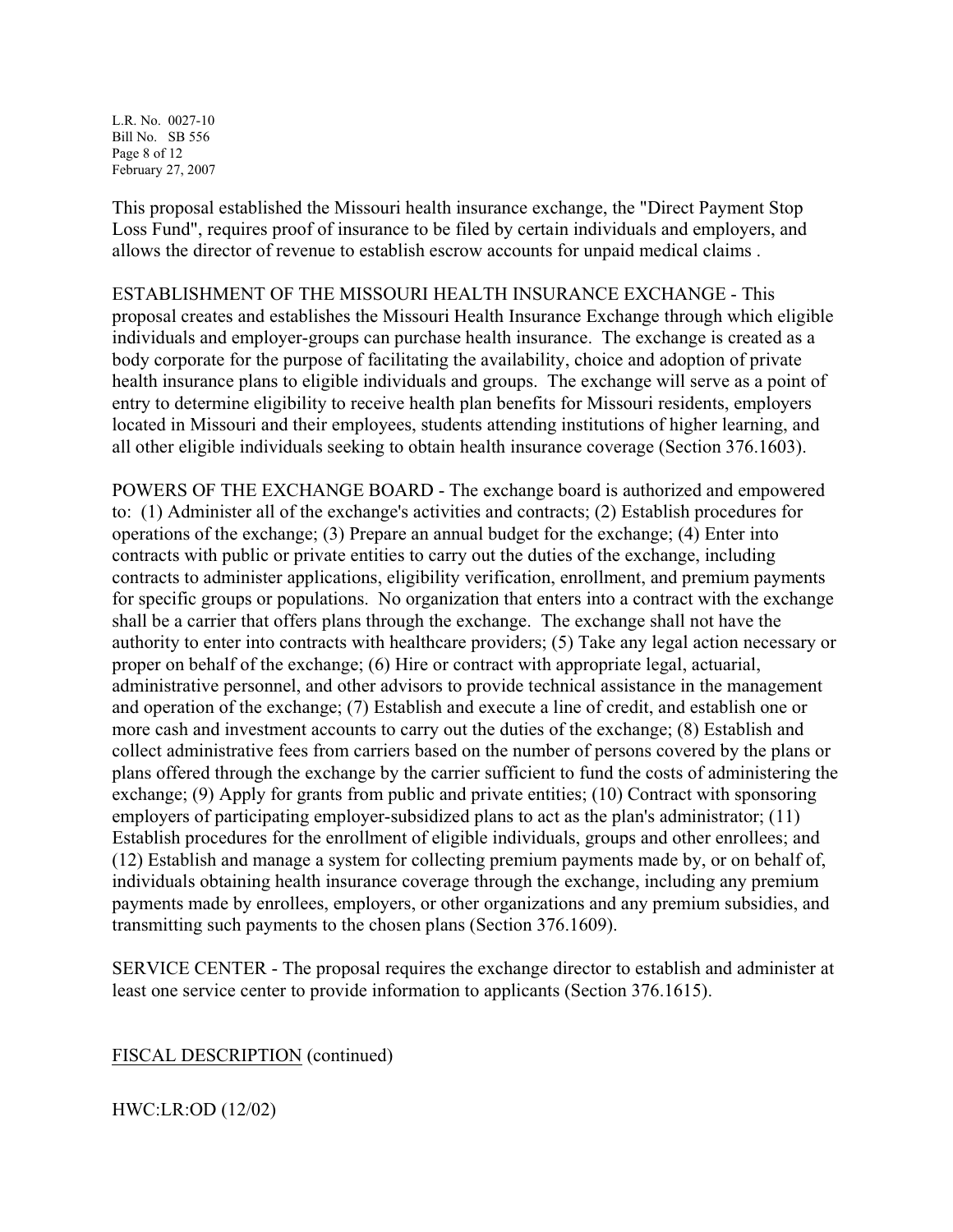L.R. No. 0027-10 Bill No. SB 556 Page 8 of 12 February 27, 2007

This proposal established the Missouri health insurance exchange, the "Direct Payment Stop Loss Fund", requires proof of insurance to be filed by certain individuals and employers, and allows the director of revenue to establish escrow accounts for unpaid medical claims .

ESTABLISHMENT OF THE MISSOURI HEALTH INSURANCE EXCHANGE - This proposal creates and establishes the Missouri Health Insurance Exchange through which eligible individuals and employer-groups can purchase health insurance. The exchange is created as a body corporate for the purpose of facilitating the availability, choice and adoption of private health insurance plans to eligible individuals and groups. The exchange will serve as a point of entry to determine eligibility to receive health plan benefits for Missouri residents, employers located in Missouri and their employees, students attending institutions of higher learning, and all other eligible individuals seeking to obtain health insurance coverage (Section 376.1603).

POWERS OF THE EXCHANGE BOARD - The exchange board is authorized and empowered to: (1) Administer all of the exchange's activities and contracts; (2) Establish procedures for operations of the exchange; (3) Prepare an annual budget for the exchange; (4) Enter into contracts with public or private entities to carry out the duties of the exchange, including contracts to administer applications, eligibility verification, enrollment, and premium payments for specific groups or populations. No organization that enters into a contract with the exchange shall be a carrier that offers plans through the exchange. The exchange shall not have the authority to enter into contracts with healthcare providers; (5) Take any legal action necessary or proper on behalf of the exchange; (6) Hire or contract with appropriate legal, actuarial, administrative personnel, and other advisors to provide technical assistance in the management and operation of the exchange; (7) Establish and execute a line of credit, and establish one or more cash and investment accounts to carry out the duties of the exchange; (8) Establish and collect administrative fees from carriers based on the number of persons covered by the plans or plans offered through the exchange by the carrier sufficient to fund the costs of administering the exchange; (9) Apply for grants from public and private entities; (10) Contract with sponsoring employers of participating employer-subsidized plans to act as the plan's administrator; (11) Establish procedures for the enrollment of eligible individuals, groups and other enrollees; and (12) Establish and manage a system for collecting premium payments made by, or on behalf of, individuals obtaining health insurance coverage through the exchange, including any premium payments made by enrollees, employers, or other organizations and any premium subsidies, and transmitting such payments to the chosen plans (Section 376.1609).

SERVICE CENTER - The proposal requires the exchange director to establish and administer at least one service center to provide information to applicants (Section 376.1615).

FISCAL DESCRIPTION (continued)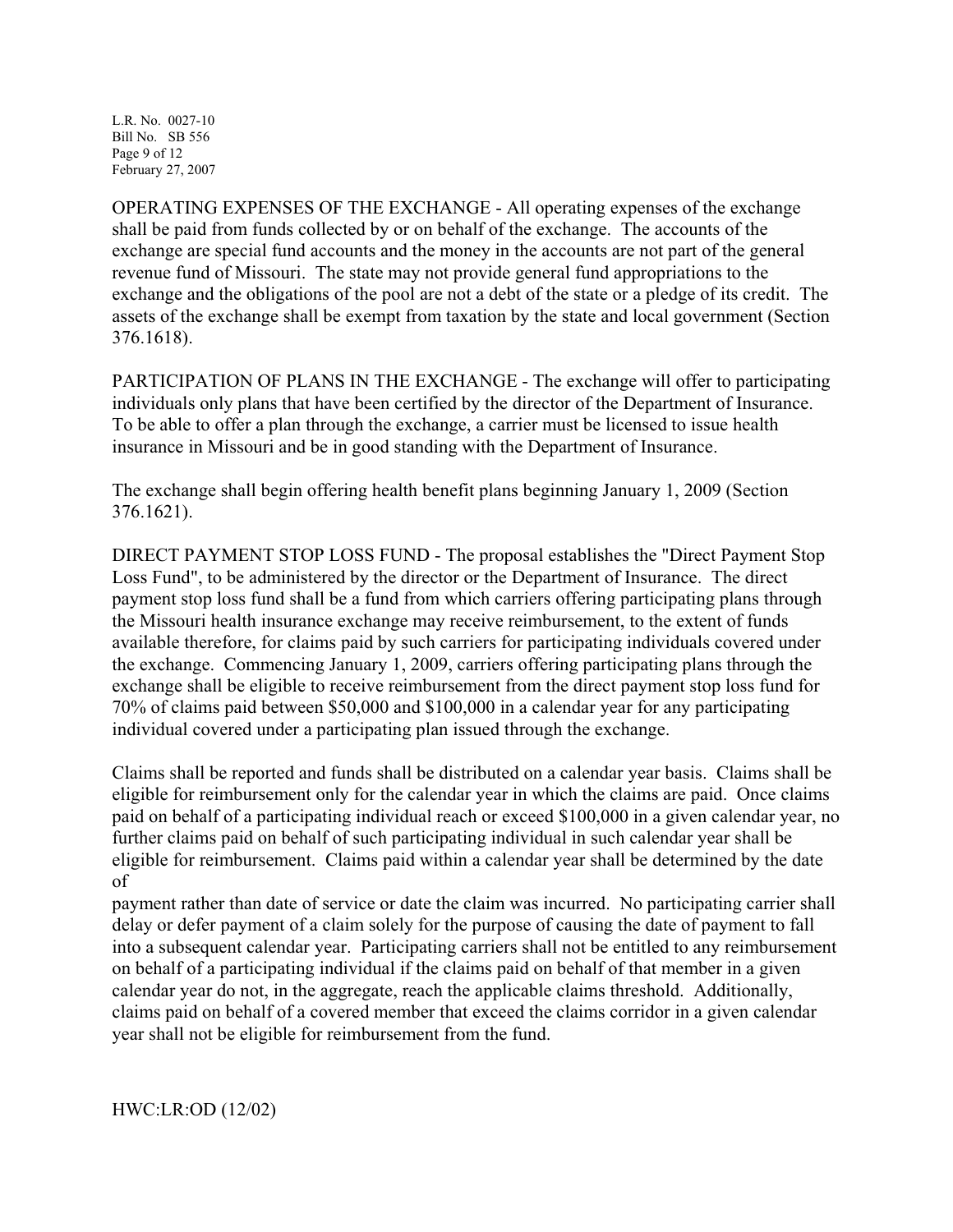L.R. No. 0027-10 Bill No. SB 556 Page 9 of 12 February 27, 2007

OPERATING EXPENSES OF THE EXCHANGE - All operating expenses of the exchange shall be paid from funds collected by or on behalf of the exchange. The accounts of the exchange are special fund accounts and the money in the accounts are not part of the general revenue fund of Missouri. The state may not provide general fund appropriations to the exchange and the obligations of the pool are not a debt of the state or a pledge of its credit. The assets of the exchange shall be exempt from taxation by the state and local government (Section 376.1618).

PARTICIPATION OF PLANS IN THE EXCHANGE - The exchange will offer to participating individuals only plans that have been certified by the director of the Department of Insurance. To be able to offer a plan through the exchange, a carrier must be licensed to issue health insurance in Missouri and be in good standing with the Department of Insurance.

The exchange shall begin offering health benefit plans beginning January 1, 2009 (Section 376.1621).

DIRECT PAYMENT STOP LOSS FUND - The proposal establishes the "Direct Payment Stop Loss Fund", to be administered by the director or the Department of Insurance. The direct payment stop loss fund shall be a fund from which carriers offering participating plans through the Missouri health insurance exchange may receive reimbursement, to the extent of funds available therefore, for claims paid by such carriers for participating individuals covered under the exchange. Commencing January 1, 2009, carriers offering participating plans through the exchange shall be eligible to receive reimbursement from the direct payment stop loss fund for 70% of claims paid between \$50,000 and \$100,000 in a calendar year for any participating individual covered under a participating plan issued through the exchange.

Claims shall be reported and funds shall be distributed on a calendar year basis. Claims shall be eligible for reimbursement only for the calendar year in which the claims are paid. Once claims paid on behalf of a participating individual reach or exceed \$100,000 in a given calendar year, no further claims paid on behalf of such participating individual in such calendar year shall be eligible for reimbursement. Claims paid within a calendar year shall be determined by the date of

payment rather than date of service or date the claim was incurred. No participating carrier shall delay or defer payment of a claim solely for the purpose of causing the date of payment to fall into a subsequent calendar year. Participating carriers shall not be entitled to any reimbursement on behalf of a participating individual if the claims paid on behalf of that member in a given calendar year do not, in the aggregate, reach the applicable claims threshold. Additionally, claims paid on behalf of a covered member that exceed the claims corridor in a given calendar year shall not be eligible for reimbursement from the fund.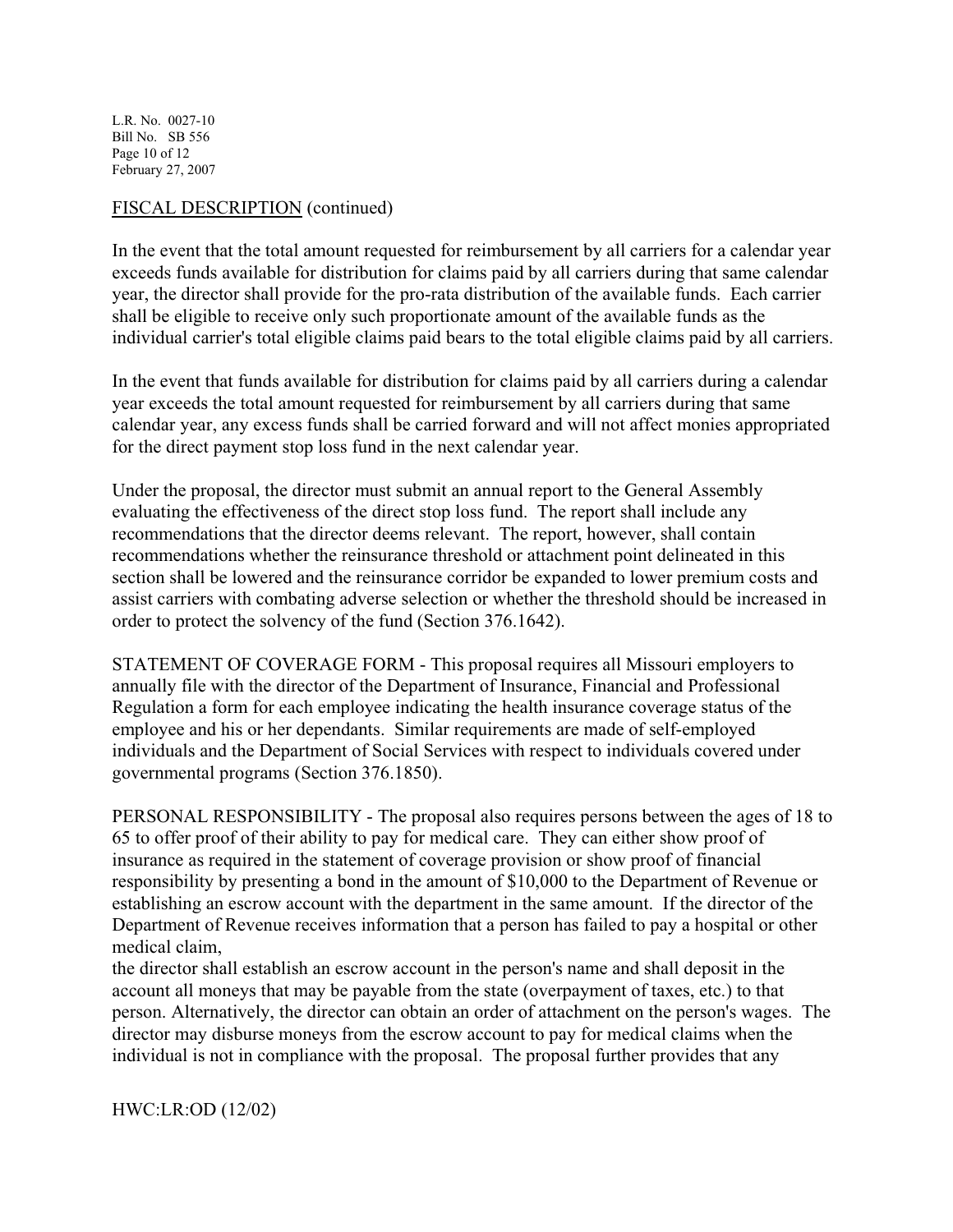L.R. No. 0027-10 Bill No. SB 556 Page 10 of 12 February 27, 2007

#### FISCAL DESCRIPTION (continued)

In the event that the total amount requested for reimbursement by all carriers for a calendar year exceeds funds available for distribution for claims paid by all carriers during that same calendar year, the director shall provide for the pro-rata distribution of the available funds. Each carrier shall be eligible to receive only such proportionate amount of the available funds as the individual carrier's total eligible claims paid bears to the total eligible claims paid by all carriers.

In the event that funds available for distribution for claims paid by all carriers during a calendar year exceeds the total amount requested for reimbursement by all carriers during that same calendar year, any excess funds shall be carried forward and will not affect monies appropriated for the direct payment stop loss fund in the next calendar year.

Under the proposal, the director must submit an annual report to the General Assembly evaluating the effectiveness of the direct stop loss fund. The report shall include any recommendations that the director deems relevant. The report, however, shall contain recommendations whether the reinsurance threshold or attachment point delineated in this section shall be lowered and the reinsurance corridor be expanded to lower premium costs and assist carriers with combating adverse selection or whether the threshold should be increased in order to protect the solvency of the fund (Section 376.1642).

STATEMENT OF COVERAGE FORM - This proposal requires all Missouri employers to annually file with the director of the Department of Insurance, Financial and Professional Regulation a form for each employee indicating the health insurance coverage status of the employee and his or her dependants. Similar requirements are made of self-employed individuals and the Department of Social Services with respect to individuals covered under governmental programs (Section 376.1850).

PERSONAL RESPONSIBILITY - The proposal also requires persons between the ages of 18 to 65 to offer proof of their ability to pay for medical care. They can either show proof of insurance as required in the statement of coverage provision or show proof of financial responsibility by presenting a bond in the amount of \$10,000 to the Department of Revenue or establishing an escrow account with the department in the same amount. If the director of the Department of Revenue receives information that a person has failed to pay a hospital or other medical claim,

the director shall establish an escrow account in the person's name and shall deposit in the account all moneys that may be payable from the state (overpayment of taxes, etc.) to that person. Alternatively, the director can obtain an order of attachment on the person's wages. The director may disburse moneys from the escrow account to pay for medical claims when the individual is not in compliance with the proposal. The proposal further provides that any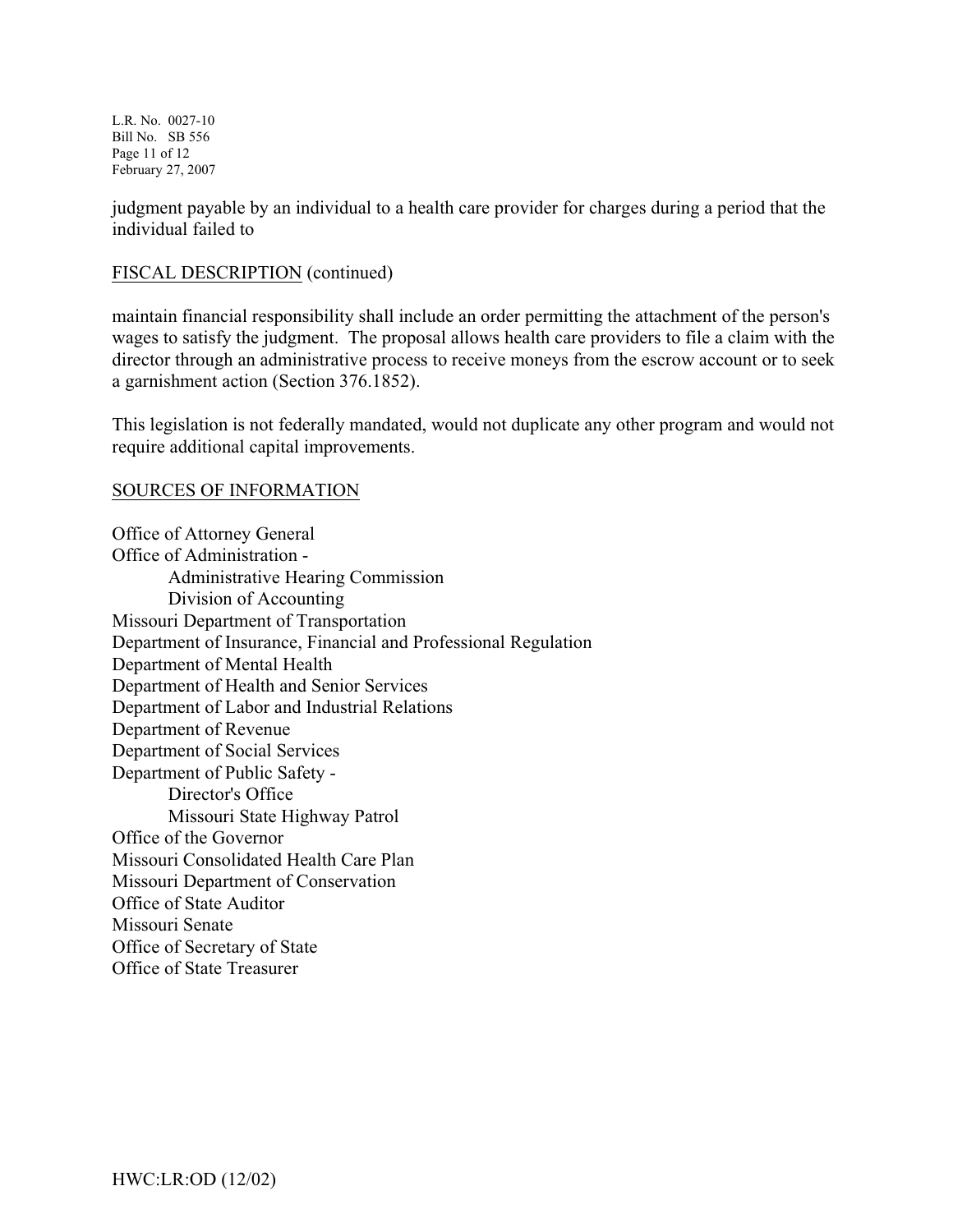L.R. No. 0027-10 Bill No. SB 556 Page 11 of 12 February 27, 2007

judgment payable by an individual to a health care provider for charges during a period that the individual failed to

#### FISCAL DESCRIPTION (continued)

maintain financial responsibility shall include an order permitting the attachment of the person's wages to satisfy the judgment. The proposal allows health care providers to file a claim with the director through an administrative process to receive moneys from the escrow account or to seek a garnishment action (Section 376.1852).

This legislation is not federally mandated, would not duplicate any other program and would not require additional capital improvements.

#### SOURCES OF INFORMATION

Office of Attorney General Office of Administration - Administrative Hearing Commission Division of Accounting Missouri Department of Transportation Department of Insurance, Financial and Professional Regulation Department of Mental Health Department of Health and Senior Services Department of Labor and Industrial Relations Department of Revenue Department of Social Services Department of Public Safety - Director's Office Missouri State Highway Patrol Office of the Governor Missouri Consolidated Health Care Plan Missouri Department of Conservation Office of State Auditor Missouri Senate Office of Secretary of State Office of State Treasurer